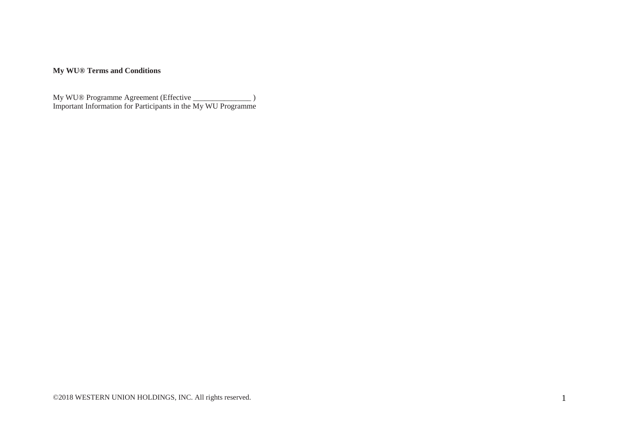## **My WU® Terms and Conditions**

My WU® Programme Agreement (Effective \_\_\_\_\_\_\_\_\_\_\_\_\_\_\_ ) Important Information for Participants in the My WU Programme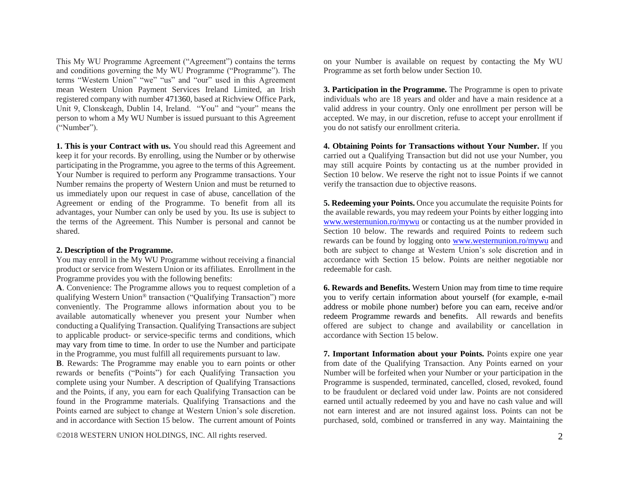This My WU Programme Agreement ("Agreement") contains the terms and conditions governing the My WU Programme ("Programme"). The terms "Western Union" "we" "us" and "our" used in this Agreement mean Western Union Payment Services Ireland Limited, an Irish registered company with number 471360, based at Richview Office Park, Unit 9, Clonskeagh, Dublin 14, Ireland. "You" and "your" means the person to whom a My WU Number is issued pursuant to this Agreement ("Number").

**1. This is your Contract with us.** You should read this Agreement and keep it for your records. By enrolling, using the Number or by otherwise participating in the Programme, you agree to the terms of this Agreement. Your Number is required to perform any Programme transactions. Your Number remains the property of Western Union and must be returned to us immediately upon our request in case of abuse, cancellation of the Agreement or ending of the Programme. To benefit from all its advantages, your Number can only be used by you. Its use is subject to the terms of the Agreement. This Number is personal and cannot be shared.

## **2. Description of the Programme.**

You may enroll in the My WU Programme without receiving a financial product or service from Western Union or its affiliates. Enrollment in the Programme provides you with the following benefits:

**A**. Convenience: The Programme allows you to request completion of a qualifying Western Union® transaction ("Qualifying Transaction") more conveniently. The Programme allows information about you to be available automatically whenever you present your Number when conducting a Qualifying Transaction. Qualifying Transactions are subject to applicable product- or service-specific terms and conditions, which may vary from time to time. In order to use the Number and participate in the Programme, you must fulfill all requirements pursuant to law.

**B**. Rewards: The Programme may enable you to earn points or other rewards or benefits ("Points") for each Qualifying Transaction you complete using your Number. A description of Qualifying Transactions and the Points, if any, you earn for each Qualifying Transaction can be found in the Programme materials. Qualifying Transactions and the Points earned are subject to change at Western Union's sole discretion. and in accordance with Section 15 below. The current amount of Points

©2018 WESTERN UNION HOLDINGS, INC. All rights reserved. 2

on your Number is available on request by contacting the My WU Programme as set forth below under Section 10.

**3. Participation in the Programme.** The Programme is open to private individuals who are 18 years and older and have a main residence at a valid address in your country. Only one enrollment per person will be accepted. We may, in our discretion, refuse to accept your enrollment if you do not satisfy our enrollment criteria.

**4. Obtaining Points for Transactions without Your Number.** If you carried out a Qualifying Transaction but did not use your Number, you may still acquire Points by contacting us at the number provided in Section 10 below. We reserve the right not to issue Points if we cannot verify the transaction due to objective reasons.

**5. Redeeming your Points.** Once you accumulate the requisite Points for the available rewards, you may redeem your Points by either logging into [www.westernunion.ro/mywu](http://www.westernunion.ro/mywu) or contacting us at the number provided in Section 10 below. The rewards and required Points to redeem such rewards can be found by logging onto [www.westernunion.ro/mywu](http://www.westernunion.ro/mywu) and both are subject to change at Western Union's sole discretion and in accordance with Section 15 below. Points are neither negotiable nor redeemable for cash.

**6. Rewards and Benefits.** Western Union may from time to time require you to verify certain information about yourself (for example, e-mail address or mobile phone number) before you can earn, receive and/or redeem Programme rewards and benefits. All rewards and benefits offered are subject to change and availability or cancellation in accordance with Section 15 below.

**7. Important Information about your Points.** Points expire one year from date of the Qualifying Transaction. Any Points earned on your Number will be forfeited when your Number or your participation in the Programme is suspended, terminated, cancelled, closed, revoked, found to be fraudulent or declared void under law. Points are not considered earned until actually redeemed by you and have no cash value and will not earn interest and are not insured against loss. Points can not be purchased, sold, combined or transferred in any way. Maintaining the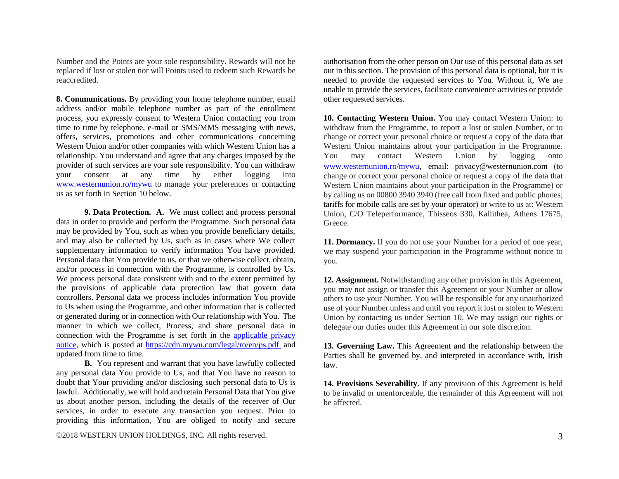Number and the Points are your sole responsibility. Rewards will not be replaced if lost or stolen nor will Points used to redeem such Rewards be reaccredited.

**8. Communications.** By providing your home telephone number, email address and/or mobile telephone number as part of the enrollment process, you expressly consent to Western Union contacting you from time to time by telephone, e-mail or SMS/MMS messaging with news, offers, services, promotions and other communications concerning Western Union and/or other companies with which Western Union has a relationship. You understand and agree that any charges imposed by the provider of such services are your sole responsibility. You can withdraw your consent at any time by either logging into [www.westernunion.ro/mywu](http://www.westernunion.ro/mywu) to manage your preferences or contacting us as set forth in Section 10 below.

**9. Data Protection. A.** We must collect and process personal data in order to provide and perform the Programme. Such personal data may be provided by You, such as when you provide beneficiary details, and may also be collected by Us, such as in cases where We collect supplementary information to verify information You have provided. Personal data that You provide to us, or that we otherwise collect, obtain, and/or process in connection with the Programme, is controlled by Us. We process personal data consistent with and to the extent permitted by the provisions of applicable data protection law that govern data controllers. Personal data we process includes information You provide to Us when using the Programme, and other information that is collected or generated during or in connection with Our relationship with You. The manner in which we collect, Process, and share personal data in connection with the Programme is set forth in the [applicable privacy](https://cdn.mywu.com/legal/ro/en/PS.pdf)  [notice,](https://cdn.mywu.com/legal/ro/en/PS.pdf) which is posted at [https://cdn.mywu.com/legal/ro/en/](https://cdn.mywu.com/legal/ro/en/PS.pdf)ps.pdf and updated from time to time.

**B.** You represent and warrant that you have lawfully collected any personal data You provide to Us, and that You have no reason to doubt that Your providing and/or disclosing such personal data to Us is lawful. Additionally, we will hold and retain Personal Data that You give us about another person, including the details of the receiver of Our services, in order to execute any transaction you request. Prior to providing this information, You are obliged to notify and secure

authorisation from the other person on Our use of this personal data as set out in this section. The provision of this personal data is optional, but it is needed to provide the requested services to You. Without it, We are unable to provide the services, facilitate convenience activities or provide other requested services.

**10. Contacting Western Union.** You may contact Western Union: to withdraw from the Programme, to report a lost or stolen Number, or to change or correct your personal choice or request a copy of the data that Western Union maintains about your participation in the Programme. You may contact Western Union by logging onto [www.westernunion.ro/mywu](http://www.westernunion.ro/mywu), email: privacy@westernunion.com (to change or correct your personal choice or request a copy of the data that Western Union maintains about your participation in the Programme) or by calling us on 00800 3940 3940 (free call from fixed and public phones; tariffs for mobile calls are set by your operator) or write to us at: Western Union, C/O Teleperformance, Thisseos 330, Kallithea, Athens 17675, Greece.

**11. Dormancy.** If you do not use your Number for a period of one year, we may suspend your participation in the Programme without notice to you.

**12. Assignment.** Notwithstanding any other provision in this Agreement, you may not assign or transfer this Agreement or your Number or allow others to use your Number. You will be responsible for any unauthorized use of your Number unless and until you report it lost or stolen to Western Union by contacting us under Section 10. We may assign our rights or delegate our duties under this Agreement in our sole discretion.

**13. Governing Law.** This Agreement and the relationship between the Parties shall be governed by, and interpreted in accordance with, Irish law.

**14. Provisions Severability.** If any provision of this Agreement is held to be invalid or unenforceable, the remainder of this Agreement will not be affected.

©2018 WESTERN UNION HOLDINGS, INC. All rights reserved. 3